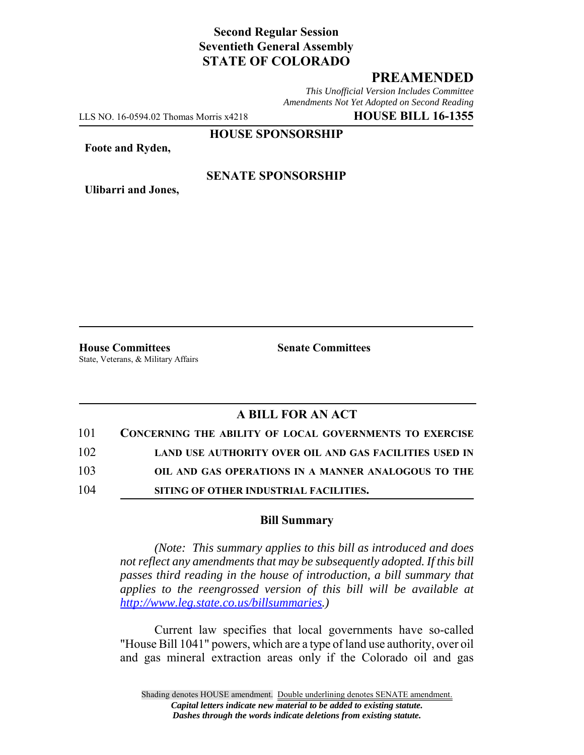# **Second Regular Session Seventieth General Assembly STATE OF COLORADO**

## **PREAMENDED**

*This Unofficial Version Includes Committee Amendments Not Yet Adopted on Second Reading*

LLS NO. 16-0594.02 Thomas Morris x4218 **HOUSE BILL 16-1355**

**HOUSE SPONSORSHIP**

**Foote and Ryden,**

**Ulibarri and Jones,**

#### **SENATE SPONSORSHIP**

**House Committees Senate Committees** State, Veterans, & Military Affairs

### **A BILL FOR AN ACT**

| 101 | <b>CONCERNING THE ABILITY OF LOCAL GOVERNMENTS TO EXERCISE</b> |
|-----|----------------------------------------------------------------|
| 102 | LAND USE AUTHORITY OVER OIL AND GAS FACILITIES USED IN         |
| 103 | OIL AND GAS OPERATIONS IN A MANNER ANALOGOUS TO THE            |
| 104 | SITING OF OTHER INDUSTRIAL FACILITIES.                         |

#### **Bill Summary**

*(Note: This summary applies to this bill as introduced and does not reflect any amendments that may be subsequently adopted. If this bill passes third reading in the house of introduction, a bill summary that applies to the reengrossed version of this bill will be available at http://www.leg.state.co.us/billsummaries.)*

Current law specifies that local governments have so-called "House Bill 1041" powers, which are a type of land use authority, over oil and gas mineral extraction areas only if the Colorado oil and gas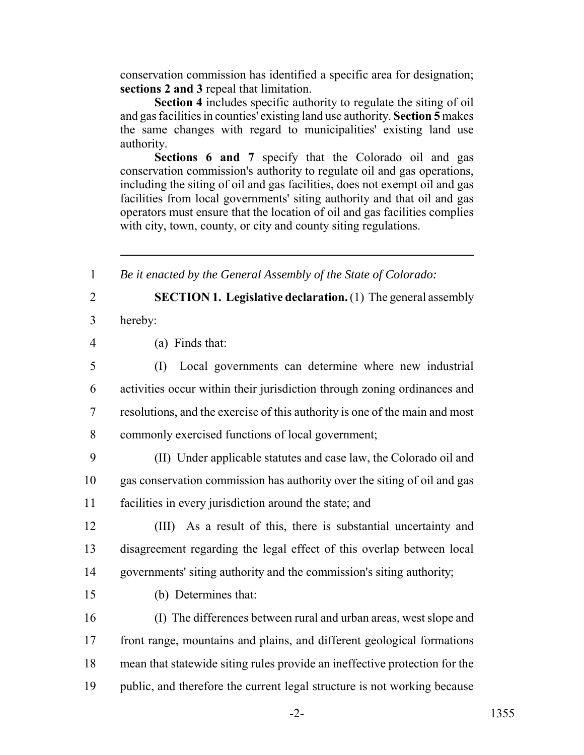conservation commission has identified a specific area for designation; **sections 2 and 3** repeal that limitation.

**Section 4** includes specific authority to regulate the siting of oil and gas facilities in counties' existing land use authority. **Section 5** makes the same changes with regard to municipalities' existing land use authority.

**Sections 6 and 7** specify that the Colorado oil and gas conservation commission's authority to regulate oil and gas operations, including the siting of oil and gas facilities, does not exempt oil and gas facilities from local governments' siting authority and that oil and gas operators must ensure that the location of oil and gas facilities complies with city, town, county, or city and county siting regulations.

1 *Be it enacted by the General Assembly of the State of Colorado:*

2 **SECTION 1. Legislative declaration.** (1) The general assembly

3 hereby:

4 (a) Finds that:

 (I) Local governments can determine where new industrial activities occur within their jurisdiction through zoning ordinances and resolutions, and the exercise of this authority is one of the main and most commonly exercised functions of local government;

9 (II) Under applicable statutes and case law, the Colorado oil and 10 gas conservation commission has authority over the siting of oil and gas 11 facilities in every jurisdiction around the state; and

12 (III) As a result of this, there is substantial uncertainty and 13 disagreement regarding the legal effect of this overlap between local 14 governments' siting authority and the commission's siting authority;

15 (b) Determines that:

 (I) The differences between rural and urban areas, west slope and front range, mountains and plains, and different geological formations mean that statewide siting rules provide an ineffective protection for the 19 public, and therefore the current legal structure is not working because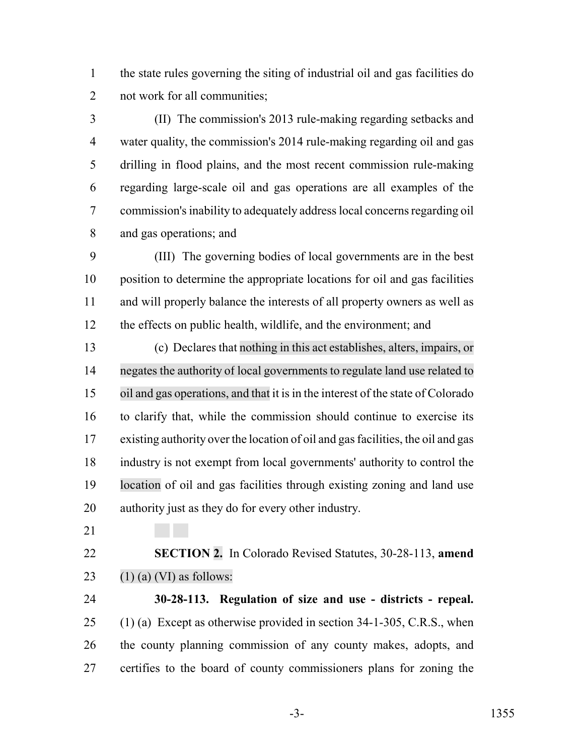the state rules governing the siting of industrial oil and gas facilities do not work for all communities;

 (II) The commission's 2013 rule-making regarding setbacks and water quality, the commission's 2014 rule-making regarding oil and gas drilling in flood plains, and the most recent commission rule-making regarding large-scale oil and gas operations are all examples of the commission's inability to adequately address local concerns regarding oil and gas operations; and

 (III) The governing bodies of local governments are in the best position to determine the appropriate locations for oil and gas facilities and will properly balance the interests of all property owners as well as the effects on public health, wildlife, and the environment; and

 (c) Declares that nothing in this act establishes, alters, impairs, or negates the authority of local governments to regulate land use related to oil and gas operations, and that it is in the interest of the state of Colorado to clarify that, while the commission should continue to exercise its existing authority over the location of oil and gas facilities, the oil and gas industry is not exempt from local governments' authority to control the location of oil and gas facilities through existing zoning and land use authority just as they do for every other industry.

 **SECTION 2.** In Colorado Revised Statutes, 30-28-113, **amend** 23 (1) (a) (VI) as follows:

 **30-28-113. Regulation of size and use - districts - repeal.** (1) (a) Except as otherwise provided in section 34-1-305, C.R.S., when the county planning commission of any county makes, adopts, and certifies to the board of county commissioners plans for zoning the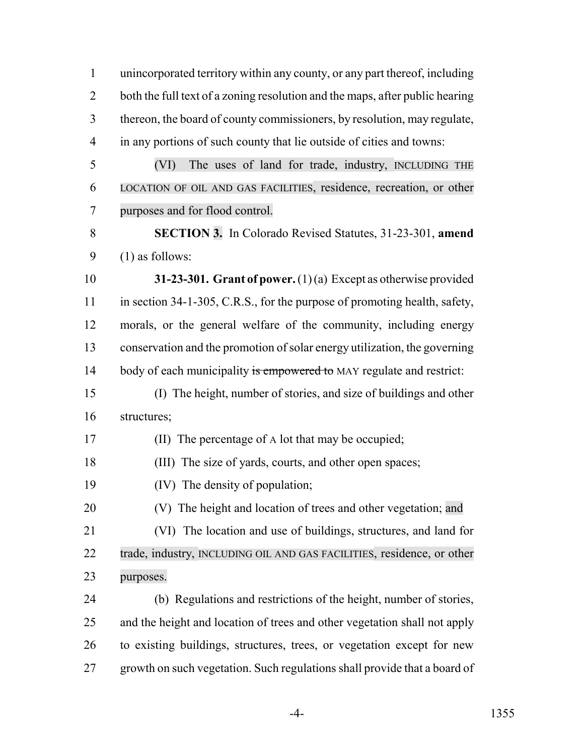unincorporated territory within any county, or any part thereof, including both the full text of a zoning resolution and the maps, after public hearing thereon, the board of county commissioners, by resolution, may regulate, in any portions of such county that lie outside of cities and towns:

 (VI) The uses of land for trade, industry, INCLUDING THE LOCATION OF OIL AND GAS FACILITIES, residence, recreation, or other purposes and for flood control.

 **SECTION 3.** In Colorado Revised Statutes, 31-23-301, **amend** (1) as follows:

 **31-23-301. Grant of power.** (1) (a) Except as otherwise provided 11 in section 34-1-305, C.R.S., for the purpose of promoting health, safety, morals, or the general welfare of the community, including energy conservation and the promotion of solar energy utilization, the governing 14 body of each municipality is empowered to MAY regulate and restrict:

 (I) The height, number of stories, and size of buildings and other structures;

- (II) The percentage of A lot that may be occupied;
- (III) The size of yards, courts, and other open spaces;
- (IV) The density of population;

(V) The height and location of trees and other vegetation; and

 (VI) The location and use of buildings, structures, and land for 22 trade, industry, INCLUDING OIL AND GAS FACILITIES, residence, or other purposes.

 (b) Regulations and restrictions of the height, number of stories, and the height and location of trees and other vegetation shall not apply to existing buildings, structures, trees, or vegetation except for new growth on such vegetation. Such regulations shall provide that a board of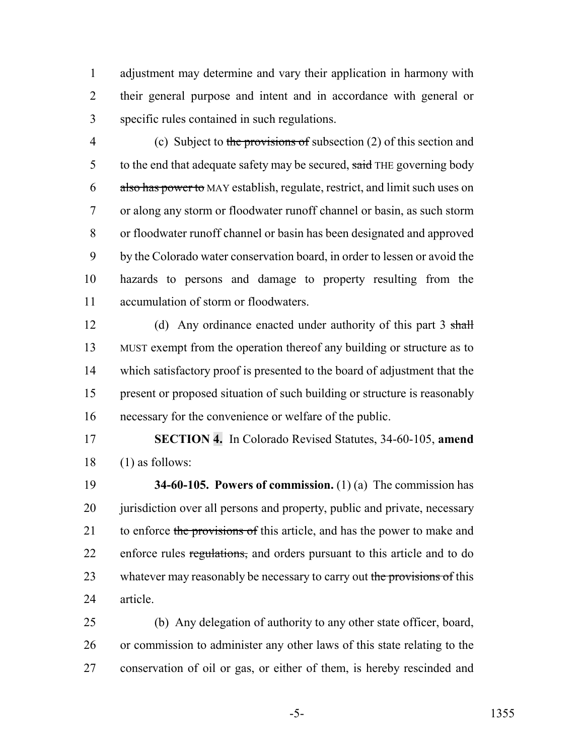adjustment may determine and vary their application in harmony with their general purpose and intent and in accordance with general or specific rules contained in such regulations.

 (c) Subject to the provisions of subsection (2) of this section and 5 to the end that adequate safety may be secured, said THE governing body also has power to MAY establish, regulate, restrict, and limit such uses on or along any storm or floodwater runoff channel or basin, as such storm or floodwater runoff channel or basin has been designated and approved by the Colorado water conservation board, in order to lessen or avoid the hazards to persons and damage to property resulting from the accumulation of storm or floodwaters.

12 (d) Any ordinance enacted under authority of this part 3 shall MUST exempt from the operation thereof any building or structure as to which satisfactory proof is presented to the board of adjustment that the present or proposed situation of such building or structure is reasonably necessary for the convenience or welfare of the public.

 **SECTION 4.** In Colorado Revised Statutes, 34-60-105, **amend** (1) as follows:

 **34-60-105. Powers of commission.** (1) (a) The commission has 20 jurisdiction over all persons and property, public and private, necessary 21 to enforce the provisions of this article, and has the power to make and 22 enforce rules regulations, and orders pursuant to this article and to do 23 whatever may reasonably be necessary to carry out the provisions of this article.

 (b) Any delegation of authority to any other state officer, board, or commission to administer any other laws of this state relating to the conservation of oil or gas, or either of them, is hereby rescinded and